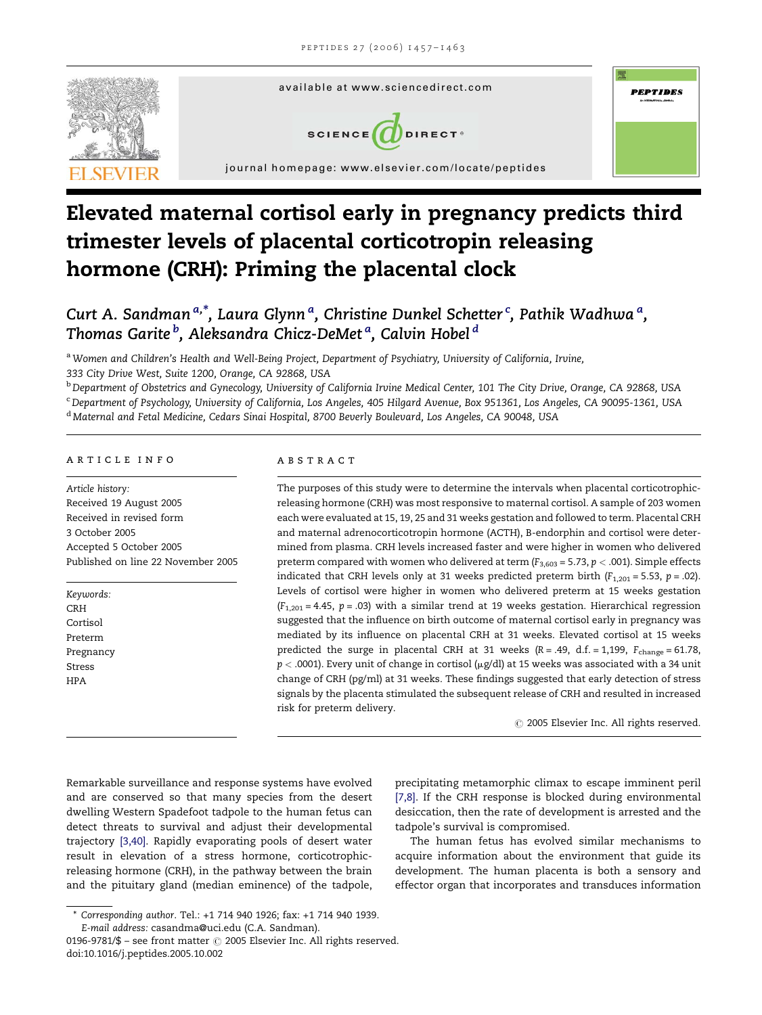

# Elevated maternal cortisol early in pregnancy predicts third trimester levels of placental corticotropin releasing hormone (CRH): Priming the placental clock

# Curt A. Sandman<sup>a,\*</sup>, Laura Glynnª, Christine Dunkel Schetter<sup>.c</sup>, Pathik Wadhwaª, Thomas Garite <sup>b</sup>, Aleksandra Chicz-DeMet <sup>a</sup>, Calvin Hobel <sup>d</sup>

a Women and Children's Health and Well-Being Project, Department of Psychiatry, University of California, Irvine,

333 City Drive West, Suite 1200, Orange, CA 92868, USA

<sup>b</sup> Department of Obstetrics and Gynecology, University of California Irvine Medical Center, 101 The City Drive, Orange, CA 92868, USA

<sup>c</sup> Department of Psychology, University of California, Los Angeles, 405 Hilgard Avenue, Box 951361, Los Angeles, CA 90095-1361, USA

<sup>d</sup> Maternal and Fetal Medicine, Cedars Sinai Hospital, 8700 Beverly Boulevard, Los Angeles, CA 90048, USA

### article info

Article history: Received 19 August 2005 Received in revised form 3 October 2005 Accepted 5 October 2005 Published on line 22 November 2005

Keywords: CRH Cortisol Preterm Pregnancy Stress HPA

#### ABSTRACT

The purposes of this study were to determine the intervals when placental corticotrophicreleasing hormone (CRH) was most responsive to maternal cortisol. A sample of 203 women each were evaluated at 15, 19, 25 and 31 weeks gestation and followed to term. Placental CRH and maternal adrenocorticotropin hormone (ACTH), B-endorphin and cortisol were determined from plasma. CRH levels increased faster and were higher in women who delivered preterm compared with women who delivered at term ( $F_{3,603}$  = 5.73,  $p < .001$ ). Simple effects indicated that CRH levels only at 31 weeks predicted preterm birth ( $F_{1,201} = 5.53$ ,  $p = .02$ ). Levels of cortisol were higher in women who delivered preterm at 15 weeks gestation  $(F<sub>1,201</sub> = 4.45, p = .03)$  with a similar trend at 19 weeks gestation. Hierarchical regression suggested that the influence on birth outcome of maternal cortisol early in pregnancy was mediated by its influence on placental CRH at 31 weeks. Elevated cortisol at 15 weeks predicted the surge in placental CRH at 31 weeks ( $R = .49$ , d.f. = 1,199,  $F_{change} = 61.78$ ,  $p < .0001$ ). Every unit of change in cortisol ( $\mu$ g/dl) at 15 weeks was associated with a 34 unit change of CRH (pg/ml) at 31 weeks. These findings suggested that early detection of stress signals by the placenta stimulated the subsequent release of CRH and resulted in increased risk for preterm delivery.

 $\odot$  2005 Elsevier Inc. All rights reserved.

Remarkable surveillance and response systems have evolved and are conserved so that many species from the desert dwelling Western Spadefoot tadpole to the human fetus can detect threats to survival and adjust their developmental trajectory [\[3,40\]](#page-5-0). Rapidly evaporating pools of desert water result in elevation of a stress hormone, corticotrophicreleasing hormone (CRH), in the pathway between the brain and the pituitary gland (median eminence) of the tadpole,

precipitating metamorphic climax to escape imminent peril [\[7,8\].](#page-5-0) If the CRH response is blocked during environmental desiccation, then the rate of development is arrested and the tadpole's survival is compromised.

The human fetus has evolved similar mechanisms to acquire information about the environment that guide its development. The human placenta is both a sensory and effector organ that incorporates and transduces information

<sup>\*</sup> Corresponding author. Tel.: +1 714 940 1926; fax: +1 714 940 1939. E-mail address: casandma@uci.edu (C.A. Sandman).

<sup>0196-9781/\$ –</sup> see front matter  $\odot$  2005 Elsevier Inc. All rights reserved. doi:10.1016/j.peptides.2005.10.002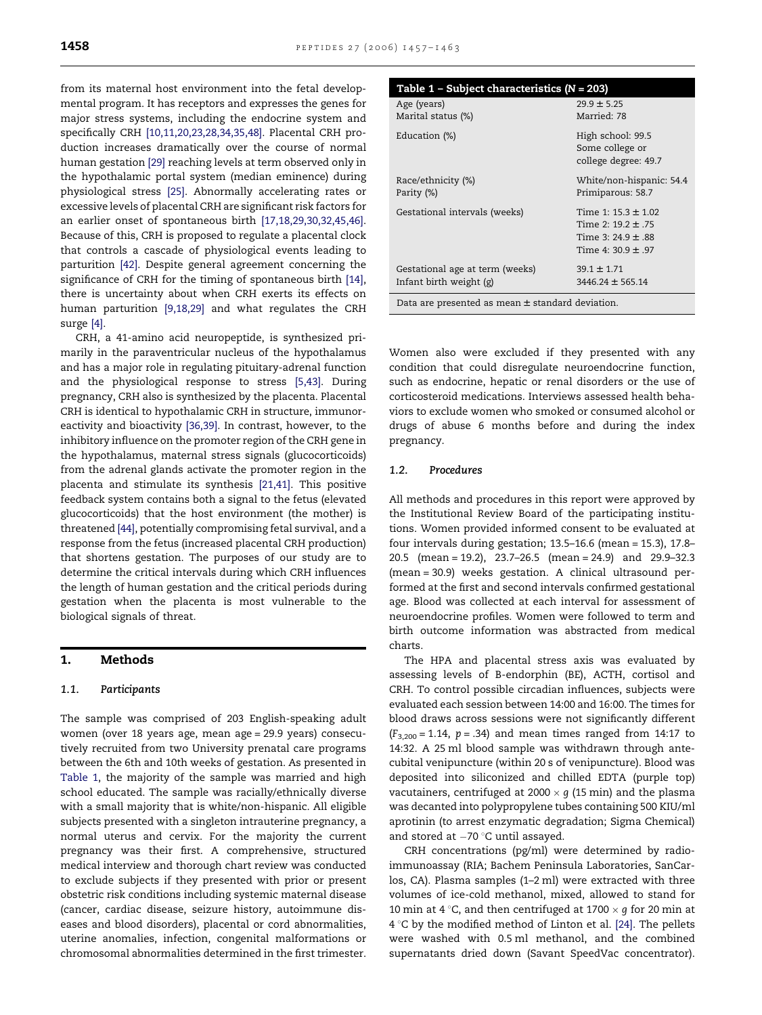<span id="page-1-0"></span>from its maternal host environment into the fetal developmental program. It has receptors and expresses the genes for major stress systems, including the endocrine system and specifically CRH [\[10,11,20,23,28,34,35,48\]](#page-5-0). Placental CRH production increases dramatically over the course of normal human gestation [\[29\]](#page-6-0) reaching levels at term observed only in the hypothalamic portal system (median eminence) during physiological stress [\[25\]](#page-6-0). Abnormally accelerating rates or excessive levels of placental CRH are significant risk factors for an earlier onset of spontaneous birth [\[17,18,29,30,32,45,46\]](#page-5-0). Because of this, CRH is proposed to regulate a placental clock that controls a cascade of physiological events leading to parturition [\[42\].](#page-6-0) Despite general agreement concerning the significance of CRH for the timing of spontaneous birth [\[14\]](#page-5-0), there is uncertainty about when CRH exerts its effects on human parturition [\[9,18,29\]](#page-5-0) and what regulates the CRH surge [\[4\].](#page-5-0)

CRH, a 41-amino acid neuropeptide, is synthesized primarily in the paraventricular nucleus of the hypothalamus and has a major role in regulating pituitary-adrenal function and the physiological response to stress [\[5,43\].](#page-5-0) During pregnancy, CRH also is synthesized by the placenta. Placental CRH is identical to hypothalamic CRH in structure, immunoreactivity and bioactivity [\[36,39\]](#page-6-0). In contrast, however, to the inhibitory influence on the promoter region of the CRH gene in the hypothalamus, maternal stress signals (glucocorticoids) from the adrenal glands activate the promoter region in the placenta and stimulate its synthesis [\[21,41\]](#page-5-0). This positive feedback system contains both a signal to the fetus (elevated glucocorticoids) that the host environment (the mother) is threatened [\[44\]](#page-6-0), potentially compromising fetal survival, and a response from the fetus (increased placental CRH production) that shortens gestation. The purposes of our study are to determine the critical intervals during which CRH influences the length of human gestation and the critical periods during gestation when the placenta is most vulnerable to the biological signals of threat.

# 1. Methods

### 1.1. Participants

The sample was comprised of 203 English-speaking adult women (over 18 years age, mean age = 29.9 years) consecutively recruited from two University prenatal care programs between the 6th and 10th weeks of gestation. As presented in Table 1, the majority of the sample was married and high school educated. The sample was racially/ethnically diverse with a small majority that is white/non-hispanic. All eligible subjects presented with a singleton intrauterine pregnancy, a normal uterus and cervix. For the majority the current pregnancy was their first. A comprehensive, structured medical interview and thorough chart review was conducted to exclude subjects if they presented with prior or present obstetric risk conditions including systemic maternal disease (cancer, cardiac disease, seizure history, autoimmune diseases and blood disorders), placental or cord abnormalities, uterine anomalies, infection, congenital malformations or chromosomal abnormalities determined in the first trimester.

| Table $1$ – Subject characteristics (N = 203)        |                                                              |  |  |
|------------------------------------------------------|--------------------------------------------------------------|--|--|
| Age (years)                                          | $29.9 \pm 5.25$                                              |  |  |
| Marital status (%)                                   | Married: 78                                                  |  |  |
| Education (%)                                        | High school: 99.5<br>Some college or<br>college degree: 49.7 |  |  |
| Race/ethnicity (%)<br>Parity (%)                     | White/non-hispanic: 54.4<br>Primiparous: 58.7                |  |  |
| Gestational intervals (weeks)                        | Time 1: $15.3 \pm 1.02$                                      |  |  |
|                                                      | Time 2: $19.2 \pm .75$                                       |  |  |
|                                                      | Time 3: $24.9 \pm .88$                                       |  |  |
|                                                      | Time 4: $30.9 \pm .97$                                       |  |  |
| Gestational age at term (weeks)                      | $39.1 \pm 1.71$                                              |  |  |
| Infant birth weight (g)                              | $3446.24 \pm 565.14$                                         |  |  |
| Data are presented as mean $\pm$ standard deviation. |                                                              |  |  |

Women also were excluded if they presented with any condition that could disregulate neuroendocrine function, such as endocrine, hepatic or renal disorders or the use of corticosteroid medications. Interviews assessed health behaviors to exclude women who smoked or consumed alcohol or drugs of abuse 6 months before and during the index pregnancy.

#### 1.2. Procedures

All methods and procedures in this report were approved by the Institutional Review Board of the participating institutions. Women provided informed consent to be evaluated at four intervals during gestation; 13.5–16.6 (mean = 15.3), 17.8– 20.5 (mean = 19.2), 23.7–26.5 (mean = 24.9) and 29.9–32.3 (mean = 30.9) weeks gestation. A clinical ultrasound performed at the first and second intervals confirmed gestational age. Blood was collected at each interval for assessment of neuroendocrine profiles. Women were followed to term and birth outcome information was abstracted from medical charts.

The HPA and placental stress axis was evaluated by assessing levels of B-endorphin (BE), ACTH, cortisol and CRH. To control possible circadian influences, subjects were evaluated each session between 14:00 and 16:00. The times for blood draws across sessions were not significantly different  $(F_{3,200} = 1.14, p = .34)$  and mean times ranged from 14:17 to 14:32. A 25 ml blood sample was withdrawn through antecubital venipuncture (within 20 s of venipuncture). Blood was deposited into siliconized and chilled EDTA (purple top) vacutainers, centrifuged at 2000  $\times$  g (15 min) and the plasma was decanted into polypropylene tubes containing 500 KIU/ml aprotinin (to arrest enzymatic degradation; Sigma Chemical) and stored at  $-70\,^{\circ}$ C until assayed.

CRH concentrations (pg/ml) were determined by radioimmunoassay (RIA; Bachem Peninsula Laboratories, SanCarlos, CA). Plasma samples (1–2 ml) were extracted with three volumes of ice-cold methanol, mixed, allowed to stand for 10 min at 4 °C, and then centrifuged at 1700  $\times$  q for 20 min at  $4^{\circ}$ C by the modified method of Linton et al. [\[24\].](#page-6-0) The pellets were washed with 0.5 ml methanol, and the combined supernatants dried down (Savant SpeedVac concentrator).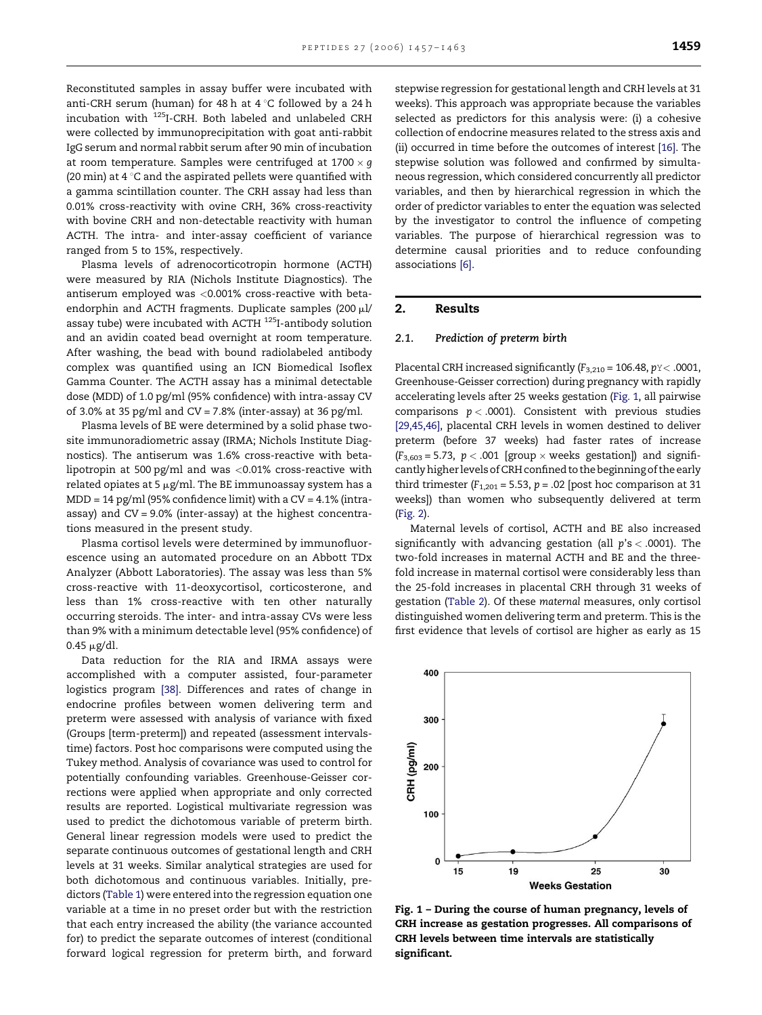Reconstituted samples in assay buffer were incubated with anti-CRH serum (human) for 48 h at  $4^{\circ}$ C followed by a 24 h incubation with 125I-CRH. Both labeled and unlabeled CRH were collected by immunoprecipitation with goat anti-rabbit IgG serum and normal rabbit serum after 90 min of incubation at room temperature. Samples were centrifuged at  $1700 \times q$ (20 min) at 4  $\degree$ C and the aspirated pellets were quantified with a gamma scintillation counter. The CRH assay had less than 0.01% cross-reactivity with ovine CRH, 36% cross-reactivity with bovine CRH and non-detectable reactivity with human ACTH. The intra- and inter-assay coefficient of variance ranged from 5 to 15%, respectively.

Plasma levels of adrenocorticotropin hormone (ACTH) were measured by RIA (Nichols Institute Diagnostics). The antiserum employed was <0.001% cross-reactive with betaendorphin and ACTH fragments. Duplicate samples  $(200 \mu$ l/ assay tube) were incubated with ACTH 125I-antibody solution and an avidin coated bead overnight at room temperature. After washing, the bead with bound radiolabeled antibody complex was quantified using an ICN Biomedical Isoflex Gamma Counter. The ACTH assay has a minimal detectable dose (MDD) of 1.0 pg/ml (95% confidence) with intra-assay CV of 3.0% at 35 pg/ml and  $CV = 7.8%$  (inter-assay) at 36 pg/ml.

Plasma levels of BE were determined by a solid phase twosite immunoradiometric assay (IRMA; Nichols Institute Diagnostics). The antiserum was 1.6% cross-reactive with betalipotropin at 500 pg/ml and was <0.01% cross-reactive with related opiates at 5  $\mu$ g/ml. The BE immunoassay system has a  $MDD = 14$  pg/ml (95% confidence limit) with a  $CV = 4.1$ % (intraassay) and CV = 9.0% (inter-assay) at the highest concentrations measured in the present study.

Plasma cortisol levels were determined by immunofluorescence using an automated procedure on an Abbott TDx Analyzer (Abbott Laboratories). The assay was less than 5% cross-reactive with 11-deoxycortisol, corticosterone, and less than 1% cross-reactive with ten other naturally occurring steroids. The inter- and intra-assay CVs were less than 9% with a minimum detectable level (95% confidence) of  $0.45 \mu g/dl$ .

Data reduction for the RIA and IRMA assays were accomplished with a computer assisted, four-parameter logistics program [\[38\].](#page-6-0) Differences and rates of change in endocrine profiles between women delivering term and preterm were assessed with analysis of variance with fixed (Groups [term-preterm]) and repeated (assessment intervalstime) factors. Post hoc comparisons were computed using the Tukey method. Analysis of covariance was used to control for potentially confounding variables. Greenhouse-Geisser corrections were applied when appropriate and only corrected results are reported. Logistical multivariate regression was used to predict the dichotomous variable of preterm birth. General linear regression models were used to predict the separate continuous outcomes of gestational length and CRH levels at 31 weeks. Similar analytical strategies are used for both dichotomous and continuous variables. Initially, predictors ([Table 1](#page-1-0)) were entered into the regression equation one variable at a time in no preset order but with the restriction that each entry increased the ability (the variance accounted for) to predict the separate outcomes of interest (conditional forward logical regression for preterm birth, and forward stepwise regression for gestational length and CRH levels at 31 weeks). This approach was appropriate because the variables selected as predictors for this analysis were: (i) a cohesive collection of endocrine measures related to the stress axis and (ii) occurred in time before the outcomes of interest [\[16\]](#page-5-0). The stepwise solution was followed and confirmed by simultaneous regression, which considered concurrently all predictor variables, and then by hierarchical regression in which the order of predictor variables to enter the equation was selected by the investigator to control the influence of competing variables. The purpose of hierarchical regression was to determine causal priorities and to reduce confounding associations [\[6\].](#page-5-0)

## 2. Results

#### 2.1. Prediction of preterm birth

Placental CRH increased significantly ( $F_{3,210}$  = 106.48,  $p$ <sup>Y</sup> < .0001, Greenhouse-Geisser correction) during pregnancy with rapidly accelerating levels after 25 weeks gestation (Fig. 1, all pairwise comparisons  $p < .0001$ ). Consistent with previous studies [\[29,45,46\]](#page-6-0), placental CRH levels in women destined to deliver preterm (before 37 weeks) had faster rates of increase  $(F_{3,603} = 5.73, p < .001$  [group  $\times$  weeks gestation]) and significantly higher levels of CRH confined to the beginning of the early third trimester ( $F_{1,201}$  = 5.53,  $p$  = .02 [post hoc comparison at 31 weeks]) than women who subsequently delivered at term [\(Fig. 2](#page-3-0)).

Maternal levels of cortisol, ACTH and BE also increased significantly with advancing gestation (all  $p's < .0001$ ). The two-fold increases in maternal ACTH and BE and the threefold increase in maternal cortisol were considerably less than the 25-fold increases in placental CRH through 31 weeks of gestation [\(Table 2\)](#page-3-0). Of these maternal measures, only cortisol distinguished women delivering term and preterm. This is the first evidence that levels of cortisol are higher as early as 15



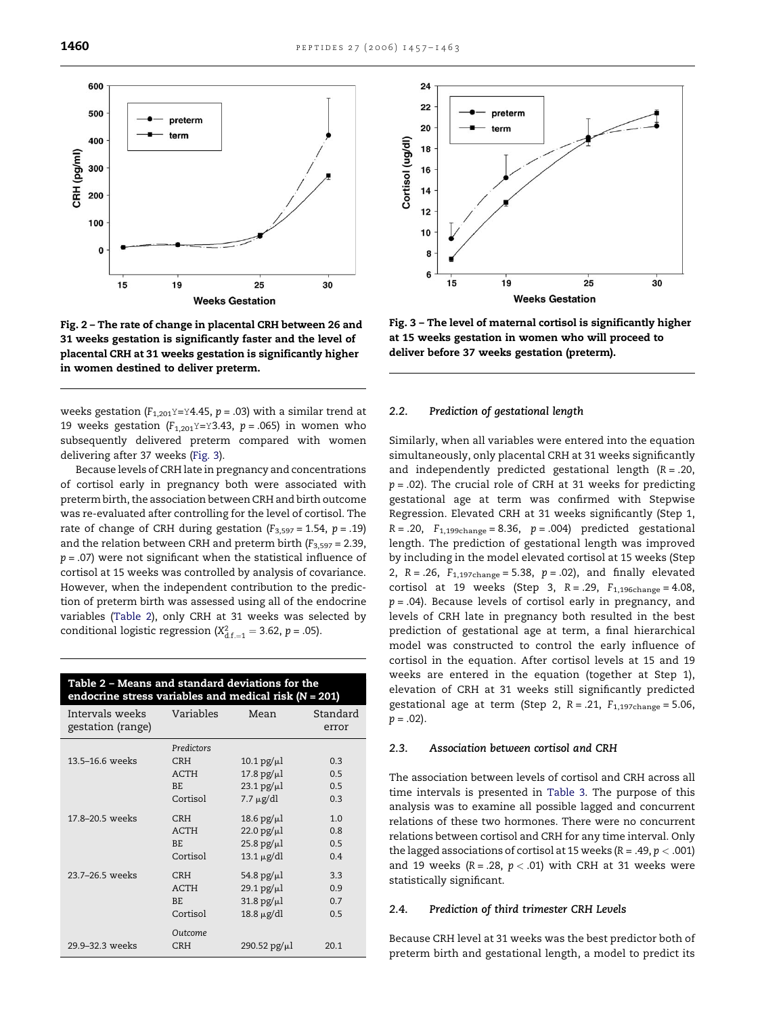<span id="page-3-0"></span>

Fig. 2 – The rate of change in placental CRH between 26 and 31 weeks gestation is significantly faster and the level of placental CRH at 31 weeks gestation is significantly higher in women destined to deliver preterm.

weeks gestation ( $F_{1,201}Y=Y4.45$ ,  $p=.03$ ) with a similar trend at 19 weeks gestation ( $F_{1,201}Y=Y3.43$ ,  $p=.065$ ) in women who subsequently delivered preterm compared with women delivering after 37 weeks (Fig. 3).

Because levels of CRH late in pregnancy and concentrations of cortisol early in pregnancy both were associated with preterm birth, the association between CRH and birth outcome was re-evaluated after controlling for the level of cortisol. The rate of change of CRH during gestation ( $F_{3,597} = 1.54$ ,  $p = .19$ ) and the relation between CRH and preterm birth  $(F_{3,597} = 2.39)$ ,  $p = .07$ ) were not significant when the statistical influence of cortisol at 15 weeks was controlled by analysis of covariance. However, when the independent contribution to the prediction of preterm birth was assessed using all of the endocrine variables (Table 2), only CRH at 31 weeks was selected by conditional logistic regression ( $X_{d.f.=1}^2 = 3.62$ ,  $p = .05$ ).

| Table 2 - Means and standard deviations for the<br>endocrine stress variables and medical risk $\overline{(N=201)}$ |                           |                                          |                   |  |  |
|---------------------------------------------------------------------------------------------------------------------|---------------------------|------------------------------------------|-------------------|--|--|
| Intervals weeks<br>gestation (range)                                                                                | Variables                 | Mean                                     | Standard<br>error |  |  |
| 13.5–16.6 weeks                                                                                                     | Predictors<br><b>CRH</b>  | $10.1$ pg/ $\mu$ l                       | 0.3               |  |  |
|                                                                                                                     | <b>ACTH</b><br>BE.        | $17.8$ pg/ $\mu$ l                       | 0.5<br>0.5        |  |  |
|                                                                                                                     | Cortisol                  | $23.1$ pg/ $\mu$ l<br>$7.7 \mu$ g/dl     | 0.3               |  |  |
| 17.8-20.5 weeks                                                                                                     | <b>CRH</b>                | 18.6 pg/ $\mu$ l                         | 1.0               |  |  |
|                                                                                                                     | <b>ACTH</b><br>BE.        | $22.0$ pg/ $\mu$ l<br>$25.8$ pg/ $\mu$ l | 0.8<br>0.5        |  |  |
|                                                                                                                     | Cortisol                  | $13.1 \mu g/dl$                          | 0.4               |  |  |
| 23.7-26.5 weeks                                                                                                     | <b>CRH</b><br><b>ACTH</b> | 54.8 $pg/µl$<br>$29.1$ pg/ $\mu$ l       | 3.3<br>0.9        |  |  |
|                                                                                                                     | BE.                       | $31.8$ pg/ $\mu$ l                       | 0.7               |  |  |
|                                                                                                                     | Cortisol<br>Outcome       | $18.8 \mu g/dl$                          | 0.5               |  |  |
| 29 9-32 3 weeks                                                                                                     | CRH                       | $290.52 \text{ pg/µl}$                   | 20.1              |  |  |



Fig. 3 – The level of maternal cortisol is significantly higher at 15 weeks gestation in women who will proceed to deliver before 37 weeks gestation (preterm).

#### 2.2. Prediction of gestational length

Similarly, when all variables were entered into the equation simultaneously, only placental CRH at 31 weeks significantly and independently predicted gestational length  $(R = .20, )$  $p = .02$ ). The crucial role of CRH at 31 weeks for predicting gestational age at term was confirmed with Stepwise Regression. Elevated CRH at 31 weeks significantly (Step 1,  $R = .20$ ,  $F_{1,199 \text{change}} = 8.36$ ,  $p = .004$ ) predicted gestational length. The prediction of gestational length was improved by including in the model elevated cortisol at 15 weeks (Step 2,  $R = .26$ ,  $F_{1,197 \text{change}} = 5.38$ ,  $p = .02$ ), and finally elevated cortisol at 19 weeks (Step 3,  $R = .29$ ,  $F_{1,196 \text{change}} = 4.08$ ,  $p = .04$ ). Because levels of cortisol early in pregnancy, and levels of CRH late in pregnancy both resulted in the best prediction of gestational age at term, a final hierarchical model was constructed to control the early influence of cortisol in the equation. After cortisol levels at 15 and 19 weeks are entered in the equation (together at Step 1), elevation of CRH at 31 weeks still significantly predicted gestational age at term (Step 2,  $R = .21$ ,  $F_{1,197 \text{change}} = 5.06$ ,  $p = .02$ ).

### 2.3. Association between cortisol and CRH

The association between levels of cortisol and CRH across all time intervals is presented in [Table 3](#page-4-0). The purpose of this analysis was to examine all possible lagged and concurrent relations of these two hormones. There were no concurrent relations between cortisol and CRH for any time interval. Only the lagged associations of cortisol at 15 weeks ( $R = .49, p < .001$ ) and 19 weeks ( $R = .28$ ,  $p < .01$ ) with CRH at 31 weeks were statistically significant.

#### 2.4. Prediction of third trimester CRH Levels

Because CRH level at 31 weeks was the best predictor both of preterm birth and gestational length, a model to predict its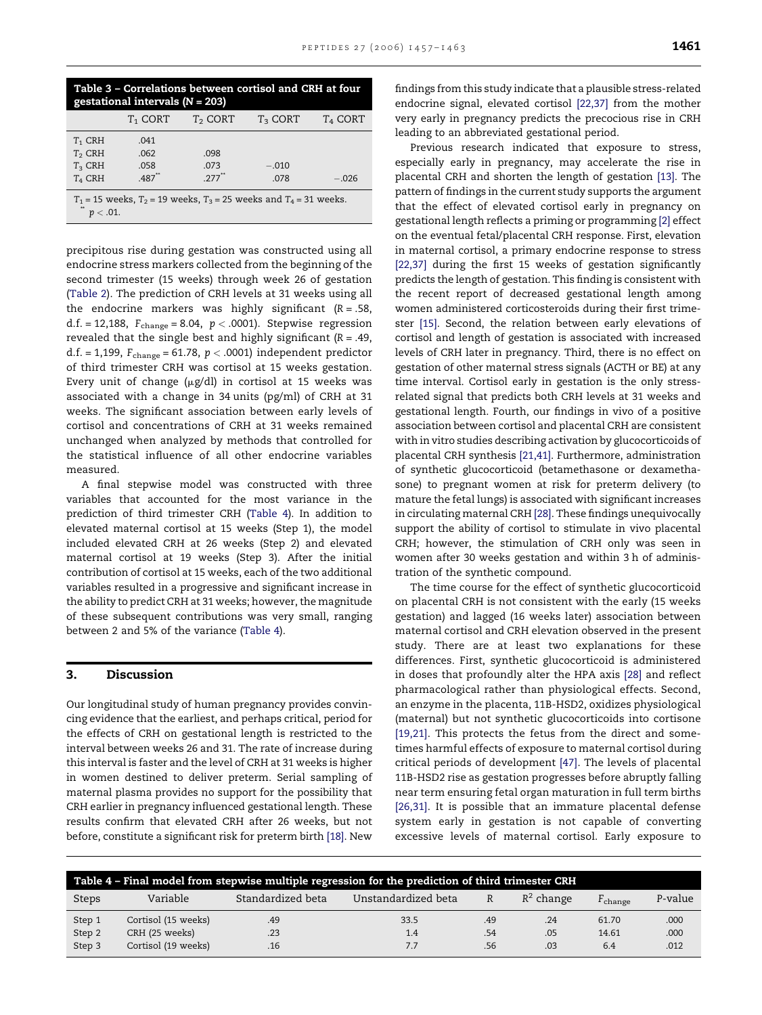<span id="page-4-0"></span>

| Table 3 - Correlations between cortisol and CRH at four<br>gestational intervals $(N = 203)$ |            |                     |            |            |  |
|----------------------------------------------------------------------------------------------|------------|---------------------|------------|------------|--|
|                                                                                              | $T_1$ CORT | $T2$ CORT           | $T_3$ CORT | $T_4$ CORT |  |
| $T_1$ CRH                                                                                    | .041       |                     |            |            |  |
| $T2$ CRH                                                                                     | .062       | .098                |            |            |  |
| $T_3$ CRH                                                                                    | .058       | .073                | $-.010$    |            |  |
| $T_4$ CRH                                                                                    | $.487$ **  | $277$ <sup>**</sup> | .078       | $-.026$    |  |
| $T_1$ = 15 weeks, $T_2$ = 19 weeks, $T_3$ = 25 weeks and $T_4$ = 31 weeks.                   |            |                     |            |            |  |
| $< 0.01$ .                                                                                   |            |                     |            |            |  |

precipitous rise during gestation was constructed using all endocrine stress markers collected from the beginning of the second trimester (15 weeks) through week 26 of gestation [\(Table 2](#page-3-0)). The prediction of CRH levels at 31 weeks using all the endocrine markers was highly significant ( $R = .58$ , d.f. = 12,188,  $F_{change}$  = 8.04,  $p < .0001$ ). Stepwise regression revealed that the single best and highly significant ( $R = .49$ , d.f. = 1,199,  $F_{change}$  = 61.78,  $p < .0001$ ) independent predictor of third trimester CRH was cortisol at 15 weeks gestation. Every unit of change ( $\mu$ g/dl) in cortisol at 15 weeks was associated with a change in 34 units (pg/ml) of CRH at 31 weeks. The significant association between early levels of cortisol and concentrations of CRH at 31 weeks remained unchanged when analyzed by methods that controlled for the statistical influence of all other endocrine variables measured.

A final stepwise model was constructed with three variables that accounted for the most variance in the prediction of third trimester CRH (Table 4). In addition to elevated maternal cortisol at 15 weeks (Step 1), the model included elevated CRH at 26 weeks (Step 2) and elevated maternal cortisol at 19 weeks (Step 3). After the initial contribution of cortisol at 15 weeks, each of the two additional variables resulted in a progressive and significant increase in the ability to predict CRH at 31 weeks; however, the magnitude of these subsequent contributions was very small, ranging between 2 and 5% of the variance (Table 4).

# 3. Discussion

Our longitudinal study of human pregnancy provides convincing evidence that the earliest, and perhaps critical, period for the effects of CRH on gestational length is restricted to the interval between weeks 26 and 31. The rate of increase during this interval is faster and the level of CRH at 31 weeks is higher in women destined to deliver preterm. Serial sampling of maternal plasma provides no support for the possibility that CRH earlier in pregnancy influenced gestational length. These results confirm that elevated CRH after 26 weeks, but not before, constitute a significant risk for preterm birth [\[18\]](#page-5-0). New findings from this study indicate that a plausible stress-related endocrine signal, elevated cortisol [\[22,37\]](#page-5-0) from the mother very early in pregnancy predicts the precocious rise in CRH leading to an abbreviated gestational period.

Previous research indicated that exposure to stress, especially early in pregnancy, may accelerate the rise in placental CRH and shorten the length of gestation [\[13\].](#page-5-0) The pattern of findings in the current study supports the argument that the effect of elevated cortisol early in pregnancy on gestational length reflects a priming or programming [\[2\]](#page-5-0) effect on the eventual fetal/placental CRH response. First, elevation in maternal cortisol, a primary endocrine response to stress [\[22,37\]](#page-5-0) during the first 15 weeks of gestation significantly predicts the length of gestation. This finding is consistent with the recent report of decreased gestational length among women administered corticosteroids during their first trimester [\[15\].](#page-5-0) Second, the relation between early elevations of cortisol and length of gestation is associated with increased levels of CRH later in pregnancy. Third, there is no effect on gestation of other maternal stress signals (ACTH or BE) at any time interval. Cortisol early in gestation is the only stressrelated signal that predicts both CRH levels at 31 weeks and gestational length. Fourth, our findings in vivo of a positive association between cortisol and placental CRH are consistent with in vitro studies describing activation by glucocorticoids of placental CRH synthesis [\[21,41\].](#page-5-0) Furthermore, administration of synthetic glucocorticoid (betamethasone or dexamethasone) to pregnant women at risk for preterm delivery (to mature the fetal lungs) is associated with significant increases in circulating maternal CRH [\[28\]](#page-6-0). These findings unequivocally support the ability of cortisol to stimulate in vivo placental CRH; however, the stimulation of CRH only was seen in women after 30 weeks gestation and within 3 h of administration of the synthetic compound.

The time course for the effect of synthetic glucocorticoid on placental CRH is not consistent with the early (15 weeks gestation) and lagged (16 weeks later) association between maternal cortisol and CRH elevation observed in the present study. There are at least two explanations for these differences. First, synthetic glucocorticoid is administered in doses that profoundly alter the HPA axis [\[28\]](#page-6-0) and reflect pharmacological rather than physiological effects. Second, an enzyme in the placenta, 11B-HSD2, oxidizes physiological (maternal) but not synthetic glucocorticoids into cortisone [\[19,21\]](#page-5-0). This protects the fetus from the direct and sometimes harmful effects of exposure to maternal cortisol during critical periods of development [\[47\].](#page-6-0) The levels of placental 11B-HSD2 rise as gestation progresses before abruptly falling near term ensuring fetal organ maturation in full term births [\[26,31\]](#page-6-0). It is possible that an immature placental defense system early in gestation is not capable of converting excessive levels of maternal cortisol. Early exposure to

| Table 4 - Final model from stepwise multiple regression for the prediction of third trimester CRH |                     |                   |                     |              |              |                  |         |
|---------------------------------------------------------------------------------------------------|---------------------|-------------------|---------------------|--------------|--------------|------------------|---------|
| <b>Steps</b>                                                                                      | Variable            | Standardized beta | Unstandardized beta | $\mathbb{R}$ | $R^2$ change | $F_{\rm change}$ | P-value |
| Step 1                                                                                            | Cortisol (15 weeks) | .49               | 33.5                | .49          | .24          | 61.70            | .000    |
| Step 2                                                                                            | CRH (25 weeks)      | .23               | 1.4                 | .54          | .05          | 14.61            | .000    |
| Step 3                                                                                            | Cortisol (19 weeks) | .16               | 7.7                 | .56          | .03          | 6.4              | .012    |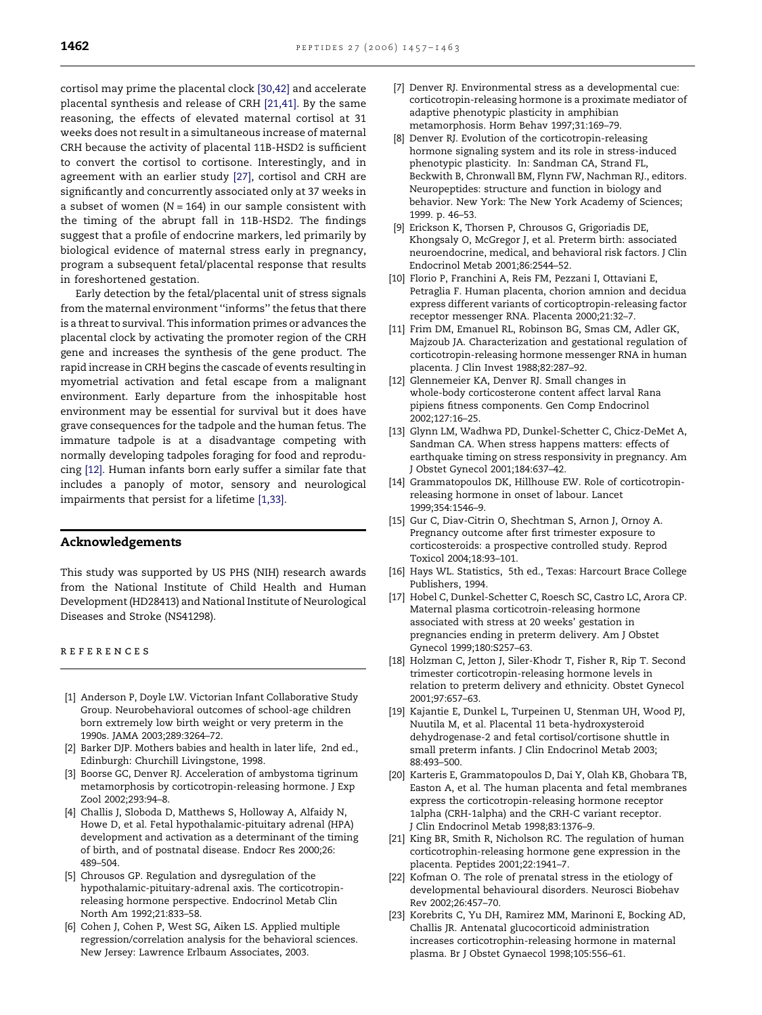<span id="page-5-0"></span>cortisol may prime the placental clock [\[30,42\]](#page-6-0) and accelerate placental synthesis and release of CRH [21,41]. By the same reasoning, the effects of elevated maternal cortisol at 31 weeks does not result in a simultaneous increase of maternal CRH because the activity of placental 11B-HSD2 is sufficient to convert the cortisol to cortisone. Interestingly, and in agreement with an earlier study [\[27\],](#page-6-0) cortisol and CRH are significantly and concurrently associated only at 37 weeks in a subset of women  $(N = 164)$  in our sample consistent with the timing of the abrupt fall in 11B-HSD2. The findings suggest that a profile of endocrine markers, led primarily by biological evidence of maternal stress early in pregnancy, program a subsequent fetal/placental response that results in foreshortened gestation.

Early detection by the fetal/placental unit of stress signals from the maternal environment ''informs'' the fetus that there is a threat to survival. This information primes or advances the placental clock by activating the promoter region of the CRH gene and increases the synthesis of the gene product. The rapid increase in CRH begins the cascade of events resulting in myometrial activation and fetal escape from a malignant environment. Early departure from the inhospitable host environment may be essential for survival but it does have grave consequences for the tadpole and the human fetus. The immature tadpole is at a disadvantage competing with normally developing tadpoles foraging for food and reproducing [12]. Human infants born early suffer a similar fate that includes a panoply of motor, sensory and neurological impairments that persist for a lifetime [1,33].

#### Acknowledgements

This study was supported by US PHS (NIH) research awards from the National Institute of Child Health and Human Development (HD28413) and National Institute of Neurological Diseases and Stroke (NS41298).

references

- [1] Anderson P, Doyle LW. Victorian Infant Collaborative Study Group. Neurobehavioral outcomes of school-age children born extremely low birth weight or very preterm in the 1990s. JAMA 2003;289:3264–72.
- [2] Barker DJP. Mothers babies and health in later life, 2nd ed., Edinburgh: Churchill Livingstone, 1998.
- [3] Boorse GC, Denver RJ. Acceleration of ambystoma tigrinum metamorphosis by corticotropin-releasing hormone. J Exp Zool 2002;293:94–8.
- [4] Challis J, Sloboda D, Matthews S, Holloway A, Alfaidy N, Howe D, et al. Fetal hypothalamic-pituitary adrenal (HPA) development and activation as a determinant of the timing of birth, and of postnatal disease. Endocr Res 2000;26: 489–504.
- [5] Chrousos GP. Regulation and dysregulation of the hypothalamic-pituitary-adrenal axis. The corticotropinreleasing hormone perspective. Endocrinol Metab Clin North Am 1992;21:833–58.
- [6] Cohen J, Cohen P, West SG, Aiken LS. Applied multiple regression/correlation analysis for the behavioral sciences. New Jersey: Lawrence Erlbaum Associates, 2003.
- [7] Denver RJ. Environmental stress as a developmental cue: corticotropin-releasing hormone is a proximate mediator of adaptive phenotypic plasticity in amphibian metamorphosis. Horm Behav 1997;31:169–79.
- [8] Denver RJ. Evolution of the corticotropin-releasing hormone signaling system and its role in stress-induced phenotypic plasticity. In: Sandman CA, Strand FL, Beckwith B, Chronwall BM, Flynn FW, Nachman RJ., editors. Neuropeptides: structure and function in biology and behavior. New York: The New York Academy of Sciences; 1999. p. 46–53.
- [9] Erickson K, Thorsen P, Chrousos G, Grigoriadis DE, Khongsaly O, McGregor J, et al. Preterm birth: associated neuroendocrine, medical, and behavioral risk factors. J Clin Endocrinol Metab 2001;86:2544–52.
- [10] Florio P, Franchini A, Reis FM, Pezzani I, Ottaviani E, Petraglia F. Human placenta, chorion amnion and decidua express different variants of corticoptropin-releasing factor receptor messenger RNA. Placenta 2000;21:32–7.
- [11] Frim DM, Emanuel RL, Robinson BG, Smas CM, Adler GK, Majzoub JA. Characterization and gestational regulation of corticotropin-releasing hormone messenger RNA in human placenta. J Clin Invest 1988;82:287–92.
- [12] Glennemeier KA, Denver RJ. Small changes in whole-body corticosterone content affect larval Rana pipiens fitness components. Gen Comp Endocrinol 2002;127:16–25.
- [13] Glynn LM, Wadhwa PD, Dunkel-Schetter C, Chicz-DeMet A, Sandman CA. When stress happens matters: effects of earthquake timing on stress responsivity in pregnancy. Am J Obstet Gynecol 2001;184:637–42.
- [14] Grammatopoulos DK, Hillhouse EW. Role of corticotropinreleasing hormone in onset of labour. Lancet 1999;354:1546–9.
- [15] Gur C, Diav-Citrin O, Shechtman S, Arnon J, Ornoy A. Pregnancy outcome after first trimester exposure to corticosteroids: a prospective controlled study. Reprod Toxicol 2004;18:93–101.
- [16] Hays WL. Statistics, 5th ed., Texas: Harcourt Brace College Publishers, 1994.
- [17] Hobel C, Dunkel-Schetter C, Roesch SC, Castro LC, Arora CP. Maternal plasma corticotroin-releasing hormone associated with stress at 20 weeks' gestation in pregnancies ending in preterm delivery. Am J Obstet Gynecol 1999;180:S257–63.
- [18] Holzman C, Jetton J, Siler-Khodr T, Fisher R, Rip T. Second trimester corticotropin-releasing hormone levels in relation to preterm delivery and ethnicity. Obstet Gynecol 2001;97:657–63.
- [19] Kajantie E, Dunkel L, Turpeinen U, Stenman UH, Wood PJ, Nuutila M, et al. Placental 11 beta-hydroxysteroid dehydrogenase-2 and fetal cortisol/cortisone shuttle in small preterm infants. J Clin Endocrinol Metab 2003; 88:493–500.
- [20] Karteris E, Grammatopoulos D, Dai Y, Olah KB, Ghobara TB, Easton A, et al. The human placenta and fetal membranes express the corticotropin-releasing hormone receptor 1alpha (CRH-1alpha) and the CRH-C variant receptor. J Clin Endocrinol Metab 1998;83:1376–9.
- [21] King BR, Smith R, Nicholson RC. The regulation of human corticotrophin-releasing hormone gene expression in the placenta. Peptides 2001;22:1941–7.
- [22] Kofman O. The role of prenatal stress in the etiology of developmental behavioural disorders. Neurosci Biobehav Rev 2002;26:457–70.
- [23] Korebrits C, Yu DH, Ramirez MM, Marinoni E, Bocking AD, Challis JR. Antenatal glucocorticoid administration increases corticotrophin-releasing hormone in maternal plasma. Br J Obstet Gynaecol 1998;105:556–61.